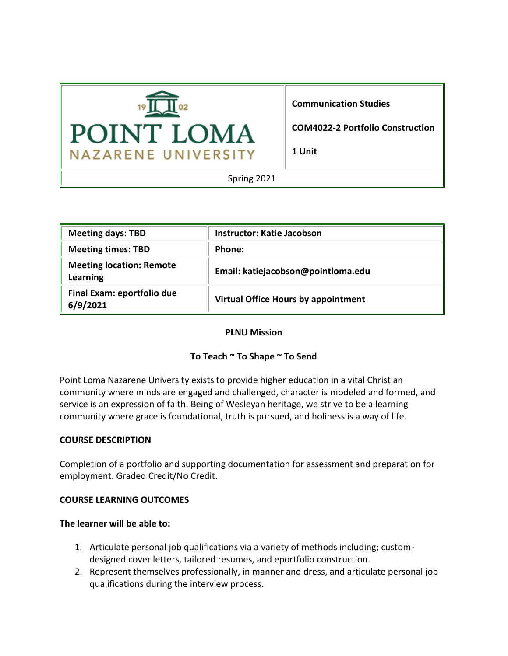

# **Communication Studies**

**COM4022-2 Portfolio Construction**

**1 Unit**

Spring 2021

| <b>Meeting days: TBD</b>                    | Instructor: Katie Jacobson          |
|---------------------------------------------|-------------------------------------|
| <b>Meeting times: TBD</b>                   | Phone:                              |
| <b>Meeting location: Remote</b><br>Learning | Email: katiejacobson@pointloma.edu  |
| Final Exam: eportfolio due<br>6/9/2021      | Virtual Office Hours by appointment |

### **PLNU Mission**

### **To Teach ~ To Shape ~ To Send**

Point Loma Nazarene University exists to provide higher education in a vital Christian community where minds are engaged and challenged, character is modeled and formed, and service is an expression of faith. Being of Wesleyan heritage, we strive to be a learning community where grace is foundational, truth is pursued, and holiness is a way of life.

### **COURSE DESCRIPTION**

Completion of a portfolio and supporting documentation for assessment and preparation for employment. Graded Credit/No Credit.

#### **COURSE LEARNING OUTCOMES**

#### **The learner will be able to:**

- 1. Articulate personal job qualifications via a variety of methods including; customdesigned cover letters, tailored resumes, and eportfolio construction.
- 2. Represent themselves professionally, in manner and dress, and articulate personal job qualifications during the interview process.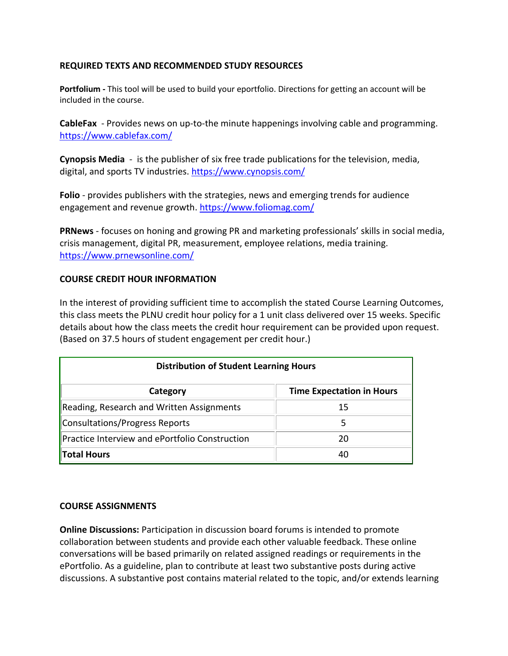# **REQUIRED TEXTS AND RECOMMENDED STUDY RESOURCES**

**Portfolium -** This tool will be used to build your eportfolio. Directions for getting an account will be included in the course.

**CableFax** - Provides news on up-to-the minute happenings involving cable and programming. <https://www.cablefax.com/>

**Cynopsis Media** - is the publisher of six free trade publications for the television, media, digital, and sports TV industries.<https://www.cynopsis.com/>

**Folio** - provides publishers with the strategies, news and emerging trends for audience engagement and revenue growth[. https://www.foliomag.com/](https://www.foliomag.com/)

**PRNews** - focuses on honing and growing PR and marketing professionals' skills in social media, crisis management, digital PR, measurement, employee relations, media training. <https://www.prnewsonline.com/>

### **COURSE CREDIT HOUR INFORMATION**

In the interest of providing sufficient time to accomplish the stated Course Learning Outcomes, this class meets the PLNU credit hour policy for a 1 unit class delivered over 15 weeks. Specific details about how the class meets the credit hour requirement can be provided upon request. (Based on 37.5 hours of student engagement per credit hour.)

| <b>Distribution of Student Learning Hours</b>  |                                  |  |
|------------------------------------------------|----------------------------------|--|
| Category                                       | <b>Time Expectation in Hours</b> |  |
| Reading, Research and Written Assignments      | 15                               |  |
| Consultations/Progress Reports                 | 5                                |  |
| Practice Interview and ePortfolio Construction | 20                               |  |
| <b>Total Hours</b>                             | 40                               |  |

### **COURSE ASSIGNMENTS**

**Online Discussions:** Participation in discussion board forums is intended to promote collaboration between students and provide each other valuable feedback. These online conversations will be based primarily on related assigned readings or requirements in the ePortfolio. As a guideline, plan to contribute at least two substantive posts during active discussions. A substantive post contains material related to the topic, and/or extends learning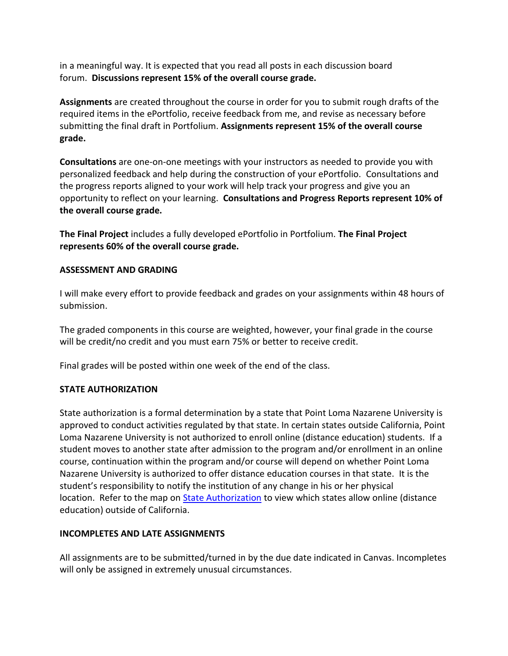in a meaningful way. It is expected that you read all posts in each discussion board forum. **Discussions represent 15% of the overall course grade.**

**Assignments** are created throughout the course in order for you to submit rough drafts of the required items in the ePortfolio, receive feedback from me, and revise as necessary before submitting the final draft in Portfolium. **Assignments represent 15% of the overall course grade.**

**Consultations** are one-on-one meetings with your instructors as needed to provide you with personalized feedback and help during the construction of your ePortfolio. Consultations and the progress reports aligned to your work will help track your progress and give you an opportunity to reflect on your learning. **Consultations and Progress Reports represent 10% of the overall course grade.**

**The Final Project** includes a fully developed ePortfolio in Portfolium. **The Final Project represents 60% of the overall course grade.**

# **ASSESSMENT AND GRADING**

I will make every effort to provide feedback and grades on your assignments within 48 hours of submission.

The graded components in this course are weighted, however, your final grade in the course will be credit/no credit and you must earn 75% or better to receive credit.

Final grades will be posted within one week of the end of the class.

### **STATE AUTHORIZATION**

State authorization is a formal determination by a state that Point Loma Nazarene University is approved to conduct activities regulated by that state. In certain states outside California, Point Loma Nazarene University is not authorized to enroll online (distance education) students. If a student moves to another state after admission to the program and/or enrollment in an online course, continuation within the program and/or course will depend on whether Point Loma Nazarene University is authorized to offer distance education courses in that state. It is the student's responsibility to notify the institution of any change in his or her physical location. Refer to the map on [State Authorization](https://www.pointloma.edu/offices/office-institutional-effectiveness-research/disclosures) to view which states allow online (distance education) outside of California.

# **INCOMPLETES AND LATE ASSIGNMENTS**

All assignments are to be submitted/turned in by the due date indicated in Canvas. Incompletes will only be assigned in extremely unusual circumstances.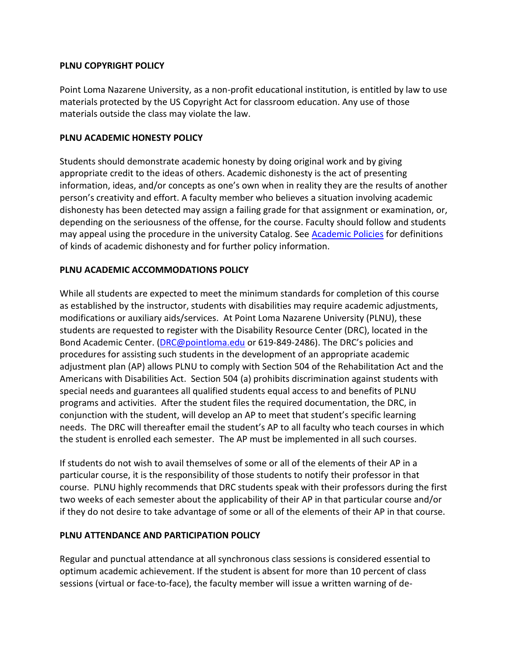# **PLNU COPYRIGHT POLICY**

Point Loma Nazarene University, as a non-profit educational institution, is entitled by law to use materials protected by the US Copyright Act for classroom education. Any use of those materials outside the class may violate the law.

### **PLNU ACADEMIC HONESTY POLICY**

Students should demonstrate academic honesty by doing original work and by giving appropriate credit to the ideas of others. Academic dishonesty is the act of presenting information, ideas, and/or concepts as one's own when in reality they are the results of another person's creativity and effort. A faculty member who believes a situation involving academic dishonesty has been detected may assign a failing grade for that assignment or examination, or, depending on the seriousness of the offense, for the course. Faculty should follow and students may appeal using the procedure in the university Catalog. See [Academic Policies](http://catalog.pointloma.edu/content.php?catoid=18&navoid=1278) for definitions of kinds of academic dishonesty and for further policy information.

# **PLNU ACADEMIC ACCOMMODATIONS POLICY**

While all students are expected to meet the minimum standards for completion of this course as established by the instructor, students with disabilities may require academic adjustments, modifications or auxiliary aids/services. At Point Loma Nazarene University (PLNU), these students are requested to register with the Disability Resource Center (DRC), located in the Bond Academic Center. [\(DRC@pointloma.edu](mailto:DRC@pointloma.edu) or 619-849-2486). The DRC's policies and procedures for assisting such students in the development of an appropriate academic adjustment plan (AP) allows PLNU to comply with Section 504 of the Rehabilitation Act and the Americans with Disabilities Act. Section 504 (a) prohibits discrimination against students with special needs and guarantees all qualified students equal access to and benefits of PLNU programs and activities. After the student files the required documentation, the DRC, in conjunction with the student, will develop an AP to meet that student's specific learning needs. The DRC will thereafter email the student's AP to all faculty who teach courses in which the student is enrolled each semester. The AP must be implemented in all such courses.

If students do not wish to avail themselves of some or all of the elements of their AP in a particular course, it is the responsibility of those students to notify their professor in that course. PLNU highly recommends that DRC students speak with their professors during the first two weeks of each semester about the applicability of their AP in that particular course and/or if they do not desire to take advantage of some or all of the elements of their AP in that course.

# **PLNU ATTENDANCE AND PARTICIPATION POLICY**

Regular and punctual attendance at all synchronous class sessions is considered essential to optimum academic achievement. If the student is absent for more than 10 percent of class sessions (virtual or face-to-face), the faculty member will issue a written warning of de